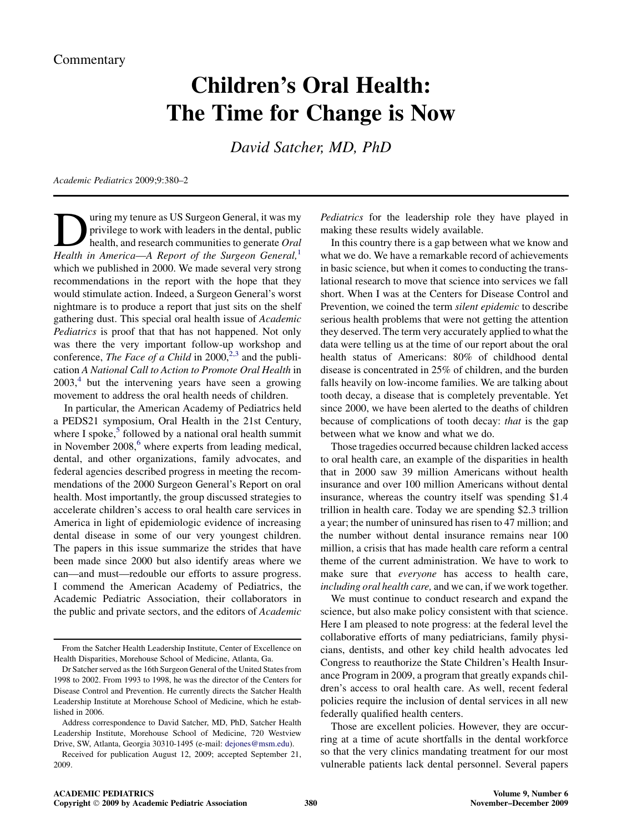## Children's Oral Health: The Time for Change is Now

David Satcher, MD, PhD

Academic Pediatrics 2009;9:380–2

Using my tenure as US Surgeon General, it was my<br>privilege to work with leaders in the dental, public<br>health, and research communities to generate Oral<br>Health in America—A Report of the Surgeon General privilege to work with leaders in the dental, public health, and research communities to generate Oral Health in America—A Report of the Surgeon General, $<sup>1</sup>$ </sup> which we published in 2000. We made several very strong recommendations in the report with the hope that they would stimulate action. Indeed, a Surgeon General's worst nightmare is to produce a report that just sits on the shelf gathering dust. This special oral health issue of Academic Pediatrics is proof that that has not happened. Not only was there the very important follow-up workshop and conference, The Face of a Child in  $2000$ <sup>[2,3](#page-2-0)</sup> and the publication A National Call to Action to Promote Oral Health in  $2003<sup>4</sup>$  $2003<sup>4</sup>$  $2003<sup>4</sup>$  but the intervening years have seen a growing movement to address the oral health needs of children.

In particular, the American Academy of Pediatrics held a PEDS21 symposium, Oral Health in the 21st Century, where I spoke, $5$  followed by a national oral health summit in November  $2008<sup>6</sup>$  $2008<sup>6</sup>$  $2008<sup>6</sup>$  where experts from leading medical, dental, and other organizations, family advocates, and federal agencies described progress in meeting the recommendations of the 2000 Surgeon General's Report on oral health. Most importantly, the group discussed strategies to accelerate children's access to oral health care services in America in light of epidemiologic evidence of increasing dental disease in some of our very youngest children. The papers in this issue summarize the strides that have been made since 2000 but also identify areas where we can—and must—redouble our efforts to assure progress. I commend the American Academy of Pediatrics, the Academic Pediatric Association, their collaborators in the public and private sectors, and the editors of Academic

Pediatrics for the leadership role they have played in making these results widely available.

In this country there is a gap between what we know and what we do. We have a remarkable record of achievements in basic science, but when it comes to conducting the translational research to move that science into services we fall short. When I was at the Centers for Disease Control and Prevention, we coined the term silent epidemic to describe serious health problems that were not getting the attention they deserved. The term very accurately applied to what the data were telling us at the time of our report about the oral health status of Americans: 80% of childhood dental disease is concentrated in 25% of children, and the burden falls heavily on low-income families. We are talking about tooth decay, a disease that is completely preventable. Yet since 2000, we have been alerted to the deaths of children because of complications of tooth decay: that is the gap between what we know and what we do.

Those tragedies occurred because children lacked access to oral health care, an example of the disparities in health that in 2000 saw 39 million Americans without health insurance and over 100 million Americans without dental insurance, whereas the country itself was spending \$1.4 trillion in health care. Today we are spending \$2.3 trillion a year; the number of uninsured has risen to 47 million; and the number without dental insurance remains near 100 million, a crisis that has made health care reform a central theme of the current administration. We have to work to make sure that everyone has access to health care, including oral health care, and we can, if we work together.

We must continue to conduct research and expand the science, but also make policy consistent with that science. Here I am pleased to note progress: at the federal level the collaborative efforts of many pediatricians, family physicians, dentists, and other key child health advocates led Congress to reauthorize the State Children's Health Insurance Program in 2009, a program that greatly expands children's access to oral health care. As well, recent federal policies require the inclusion of dental services in all new federally qualified health centers.

Those are excellent policies. However, they are occurring at a time of acute shortfalls in the dental workforce so that the very clinics mandating treatment for our most vulnerable patients lack dental personnel. Several papers

From the Satcher Health Leadership Institute, Center of Excellence on Health Disparities, Morehouse School of Medicine, Atlanta, Ga.

Dr Satcher served as the 16th Surgeon General of the United States from 1998 to 2002. From 1993 to 1998, he was the director of the Centers for Disease Control and Prevention. He currently directs the Satcher Health Leadership Institute at Morehouse School of Medicine, which he established in 2006.

Address correspondence to David Satcher, MD, PhD, Satcher Health Leadership Institute, Morehouse School of Medicine, 720 Westview Drive, SW, Atlanta, Georgia 30310-1495 (e-mail: [dejones@msm.edu](mailto:dejones@msm.edu)).

Received for publication August 12, 2009; accepted September 21, 2009.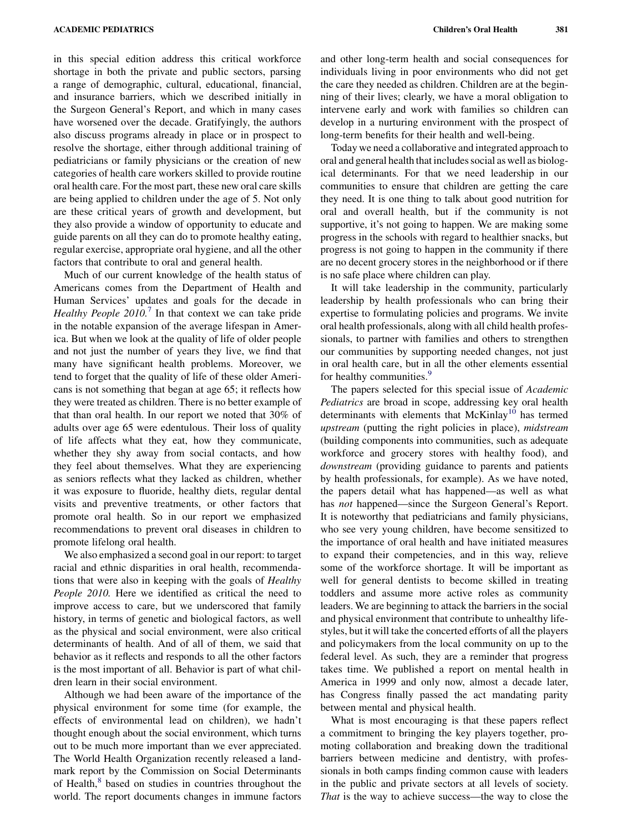in this special edition address this critical workforce shortage in both the private and public sectors, parsing a range of demographic, cultural, educational, financial, and insurance barriers, which we described initially in the Surgeon General's Report, and which in many cases have worsened over the decade. Gratifyingly, the authors also discuss programs already in place or in prospect to resolve the shortage, either through additional training of pediatricians or family physicians or the creation of new categories of health care workers skilled to provide routine oral health care. For the most part, these new oral care skills are being applied to children under the age of 5. Not only are these critical years of growth and development, but they also provide a window of opportunity to educate and guide parents on all they can do to promote healthy eating, regular exercise, appropriate oral hygiene, and all the other factors that contribute to oral and general health.

Much of our current knowledge of the health status of Americans comes from the Department of Health and Human Services' updates and goals for the decade in *Healthy People 2010.*<sup> $\prime$ </sup> In that context we can take pride in the notable expansion of the average lifespan in America. But when we look at the quality of life of older people and not just the number of years they live, we find that many have significant health problems. Moreover, we tend to forget that the quality of life of these older Americans is not something that began at age 65; it reflects how they were treated as children. There is no better example of that than oral health. In our report we noted that 30% of adults over age 65 were edentulous. Their loss of quality of life affects what they eat, how they communicate, whether they shy away from social contacts, and how they feel about themselves. What they are experiencing as seniors reflects what they lacked as children, whether it was exposure to fluoride, healthy diets, regular dental visits and preventive treatments, or other factors that promote oral health. So in our report we emphasized recommendations to prevent oral diseases in children to promote lifelong oral health.

We also emphasized a second goal in our report: to target racial and ethnic disparities in oral health, recommendations that were also in keeping with the goals of Healthy People 2010. Here we identified as critical the need to improve access to care, but we underscored that family history, in terms of genetic and biological factors, as well as the physical and social environment, were also critical determinants of health. And of all of them, we said that behavior as it reflects and responds to all the other factors is the most important of all. Behavior is part of what children learn in their social environment.

Although we had been aware of the importance of the physical environment for some time (for example, the effects of environmental lead on children), we hadn't thought enough about the social environment, which turns out to be much more important than we ever appreciated. The World Health Organization recently released a landmark report by the Commission on Social Determinants of Health,<sup>[8](#page-2-0)</sup> based on studies in countries throughout the world. The report documents changes in immune factors

and other long-term health and social consequences for individuals living in poor environments who did not get the care they needed as children. Children are at the beginning of their lives; clearly, we have a moral obligation to intervene early and work with families so children can develop in a nurturing environment with the prospect of long-term benefits for their health and well-being.

Today we need a collaborative and integrated approach to oral and general health that includes social as well as biological determinants. For that we need leadership in our communities to ensure that children are getting the care they need. It is one thing to talk about good nutrition for oral and overall health, but if the community is not supportive, it's not going to happen. We are making some progress in the schools with regard to healthier snacks, but progress is not going to happen in the community if there are no decent grocery stores in the neighborhood or if there is no safe place where children can play.

It will take leadership in the community, particularly leadership by health professionals who can bring their expertise to formulating policies and programs. We invite oral health professionals, along with all child health professionals, to partner with families and others to strengthen our communities by supporting needed changes, not just in oral health care, but in all the other elements essential for healthy communities.<sup>[9](#page-2-0)</sup>

The papers selected for this special issue of Academic Pediatrics are broad in scope, addressing key oral health determinants with elements that  $McKinlay<sup>10</sup>$  $McKinlay<sup>10</sup>$  $McKinlay<sup>10</sup>$  has termed upstream (putting the right policies in place), midstream (building components into communities, such as adequate workforce and grocery stores with healthy food), and downstream (providing guidance to parents and patients by health professionals, for example). As we have noted, the papers detail what has happened—as well as what has *not* happened—since the Surgeon General's Report. It is noteworthy that pediatricians and family physicians, who see very young children, have become sensitized to the importance of oral health and have initiated measures to expand their competencies, and in this way, relieve some of the workforce shortage. It will be important as well for general dentists to become skilled in treating toddlers and assume more active roles as community leaders. We are beginning to attack the barriers in the social and physical environment that contribute to unhealthy lifestyles, but it will take the concerted efforts of all the players and policymakers from the local community on up to the federal level. As such, they are a reminder that progress takes time. We published a report on mental health in America in 1999 and only now, almost a decade later, has Congress finally passed the act mandating parity between mental and physical health.

What is most encouraging is that these papers reflect a commitment to bringing the key players together, promoting collaboration and breaking down the traditional barriers between medicine and dentistry, with professionals in both camps finding common cause with leaders in the public and private sectors at all levels of society. That is the way to achieve success—the way to close the